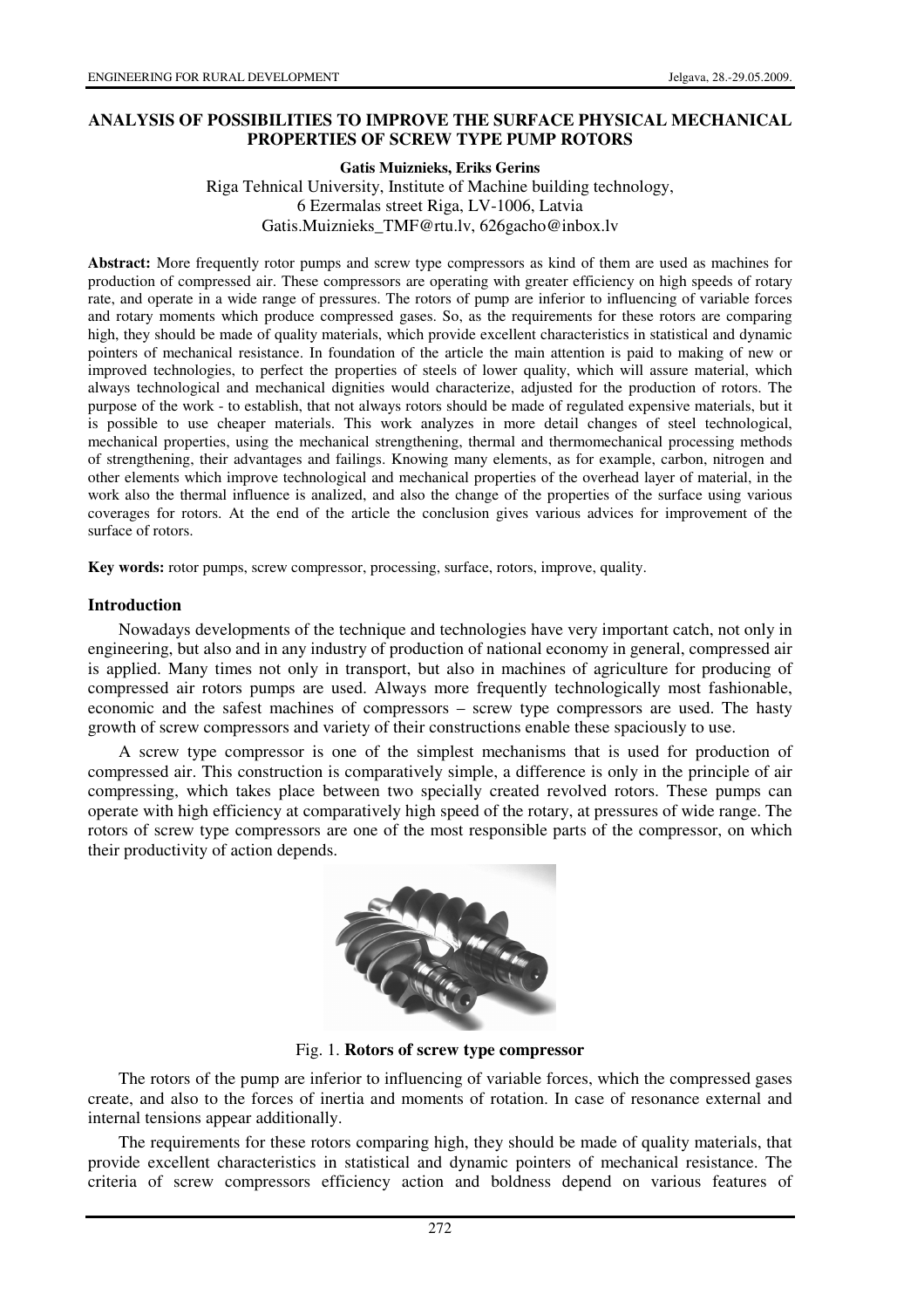## **ANALYSIS OF POSSIBILITIES TO IMPROVE THE SURFACE PHYSICAL MECHANICAL PROPERTIES OF SCREW TYPE PUMP ROTORS**

### **Gatis Muiznieks, Eriks Gerins**

Riga Tehnical University, Institute of Machine building technology, 6 Ezermalas street Riga, LV-1006, Latvia Gatis.Muiznieks\_TMF@rtu.lv, 626gacho@inbox.lv

**Abstract:** More frequently rotor pumps and screw type compressors as kind of them are used as machines for production of compressed air. These compressors are operating with greater efficiency on high speeds of rotary rate, and operate in a wide range of pressures. The rotors of pump are inferior to influencing of variable forces and rotary moments which produce compressed gases. So, as the requirements for these rotors are comparing high, they should be made of quality materials, which provide excellent characteristics in statistical and dynamic pointers of mechanical resistance. In foundation of the article the main attention is paid to making of new or improved technologies, to perfect the properties of steels of lower quality, which will assure material, which always technological and mechanical dignities would characterize, adjusted for the production of rotors. The purpose of the work - to establish, that not always rotors should be made of regulated expensive materials, but it is possible to use cheaper materials. This work analyzes in more detail changes of steel technological, mechanical properties, using the mechanical strengthening, thermal and thermomechanical processing methods of strengthening, their advantages and failings. Knowing many elements, as for example, carbon, nitrogen and other elements which improve technological and mechanical properties of the overhead layer of material, in the work also the thermal influence is analized, and also the change of the properties of the surface using various coverages for rotors. At the end of the article the conclusion gives various advices for improvement of the surface of rotors.

**Key words:** rotor pumps, screw compressor, processing, surface, rotors, improve, quality.

## **Introduction**

Nowadays developments of the technique and technologies have very important catch, not only in engineering, but also and in any industry of production of national economy in general, compressed air is applied. Many times not only in transport, but also in machines of agriculture for producing of compressed air rotors pumps are used. Always more frequently technologically most fashionable, economic and the safest machines of compressors – screw type compressors are used. The hasty growth of screw compressors and variety of their constructions enable these spaciously to use.

A screw type compressor is one of the simplest mechanisms that is used for production of compressed air. This construction is comparatively simple, a difference is only in the principle of air compressing, which takes place between two specially created revolved rotors. These pumps can operate with high efficiency at comparatively high speed of the rotary, at pressures of wide range. The rotors of screw type compressors are one of the most responsible parts of the compressor, on which their productivity of action depends.



Fig. 1. **Rotors of screw type compressor**

The rotors of the pump are inferior to influencing of variable forces, which the compressed gases create, and also to the forces of inertia and moments of rotation. In case of resonance external and internal tensions appear additionally.

The requirements for these rotors comparing high, they should be made of quality materials, that provide excellent characteristics in statistical and dynamic pointers of mechanical resistance. The criteria of screw compressors efficiency action and boldness depend on various features of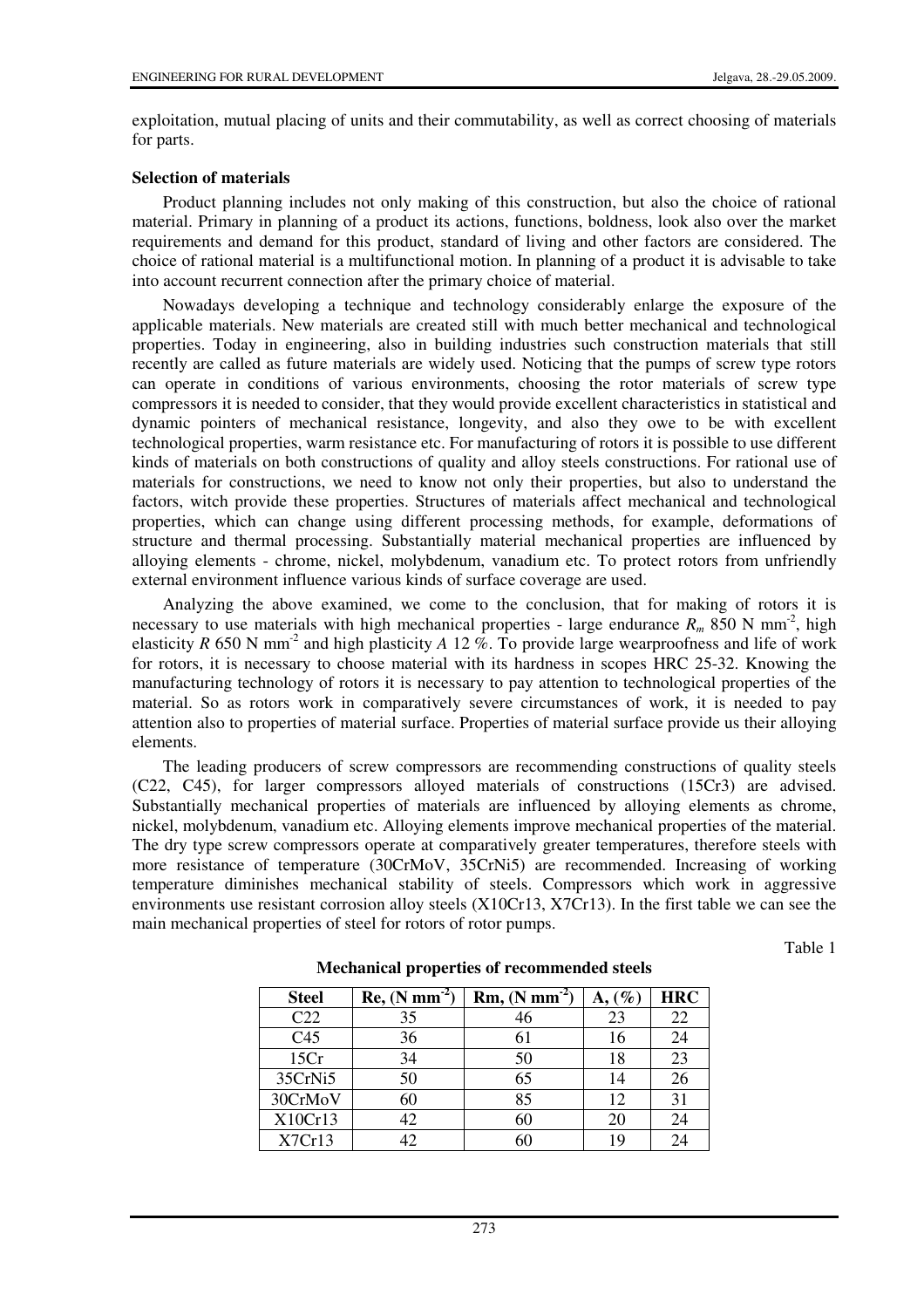exploitation, mutual placing of units and their commutability, as well as correct choosing of materials for parts.

#### **Selection of materials**

Product planning includes not only making of this construction, but also the choice of rational material. Primary in planning of a product its actions, functions, boldness, look also over the market requirements and demand for this product, standard of living and other factors are considered. The choice of rational material is a multifunctional motion. In planning of a product it is advisable to take into account recurrent connection after the primary choice of material.

Nowadays developing a technique and technology considerably enlarge the exposure of the applicable materials. New materials are created still with much better mechanical and technological properties. Today in engineering, also in building industries such construction materials that still recently are called as future materials are widely used. Noticing that the pumps of screw type rotors can operate in conditions of various environments, choosing the rotor materials of screw type compressors it is needed to consider, that they would provide excellent characteristics in statistical and dynamic pointers of mechanical resistance, longevity, and also they owe to be with excellent technological properties, warm resistance etc. For manufacturing of rotors it is possible to use different kinds of materials on both constructions of quality and alloy steels constructions. For rational use of materials for constructions, we need to know not only their properties, but also to understand the factors, witch provide these properties. Structures of materials affect mechanical and technological properties, which can change using different processing methods, for example, deformations of structure and thermal processing. Substantially material mechanical properties are influenced by alloying elements - chrome, nickel, molybdenum, vanadium etc. To protect rotors from unfriendly external environment influence various kinds of surface coverage are used.

Analyzing the above examined, we come to the conclusion, that for making of rotors it is necessary to use materials with high mechanical properties - large endurance  $R_m$  850 N mm<sup>-2</sup>, high elasticity *R* 650 N mm<sup>-2</sup> and high plasticity *A* 12  $\%$ . To provide large wearproofness and life of work for rotors, it is necessary to choose material with its hardness in scopes HRC 25-32. Knowing the manufacturing technology of rotors it is necessary to pay attention to technological properties of the material. So as rotors work in comparatively severe circumstances of work, it is needed to pay attention also to properties of material surface. Properties of material surface provide us their alloying elements.

The leading producers of screw compressors are recommending constructions of quality steels (C22, C45), for larger compressors alloyed materials of constructions (15Cr3) are advised. Substantially mechanical properties of materials are influenced by alloying elements as chrome, nickel, molybdenum, vanadium etc. Alloying elements improve mechanical properties of the material. The dry type screw compressors operate at comparatively greater temperatures, therefore steels with more resistance of temperature (30CrMoV, 35CrNi5) are recommended. Increasing of working temperature diminishes mechanical stability of steels. Compressors which work in aggressive environments use resistant corrosion alloy steels (X10Cr13, X7Cr13). In the first table we can see the main mechanical properties of steel for rotors of rotor pumps.

Table 1

| <b>Steel</b>    | $Re, (N \text{ mm}^{-1})$ | $Rm$ , $(N \text{ mm}^{-2})$ | $(\%$ | <b>HRC</b> |
|-----------------|---------------------------|------------------------------|-------|------------|
| C <sub>22</sub> | 35                        | 46                           | 23    | 22         |
| C <sub>45</sub> | 36                        | 61                           | 16    | 24         |
| 15Cr            | 34                        | 50                           | 18    | 23         |
| 35CrNi5         | 50                        | 65                           | 14    | 26         |
| 30CrMoV         | 60                        | 85                           | 12    | 31         |
| X10Cr13         | 42                        |                              | 20    | 24         |
| X7Cr13          |                           |                              | 1 Q   | 74         |

**Mechanical properties of recommended steels**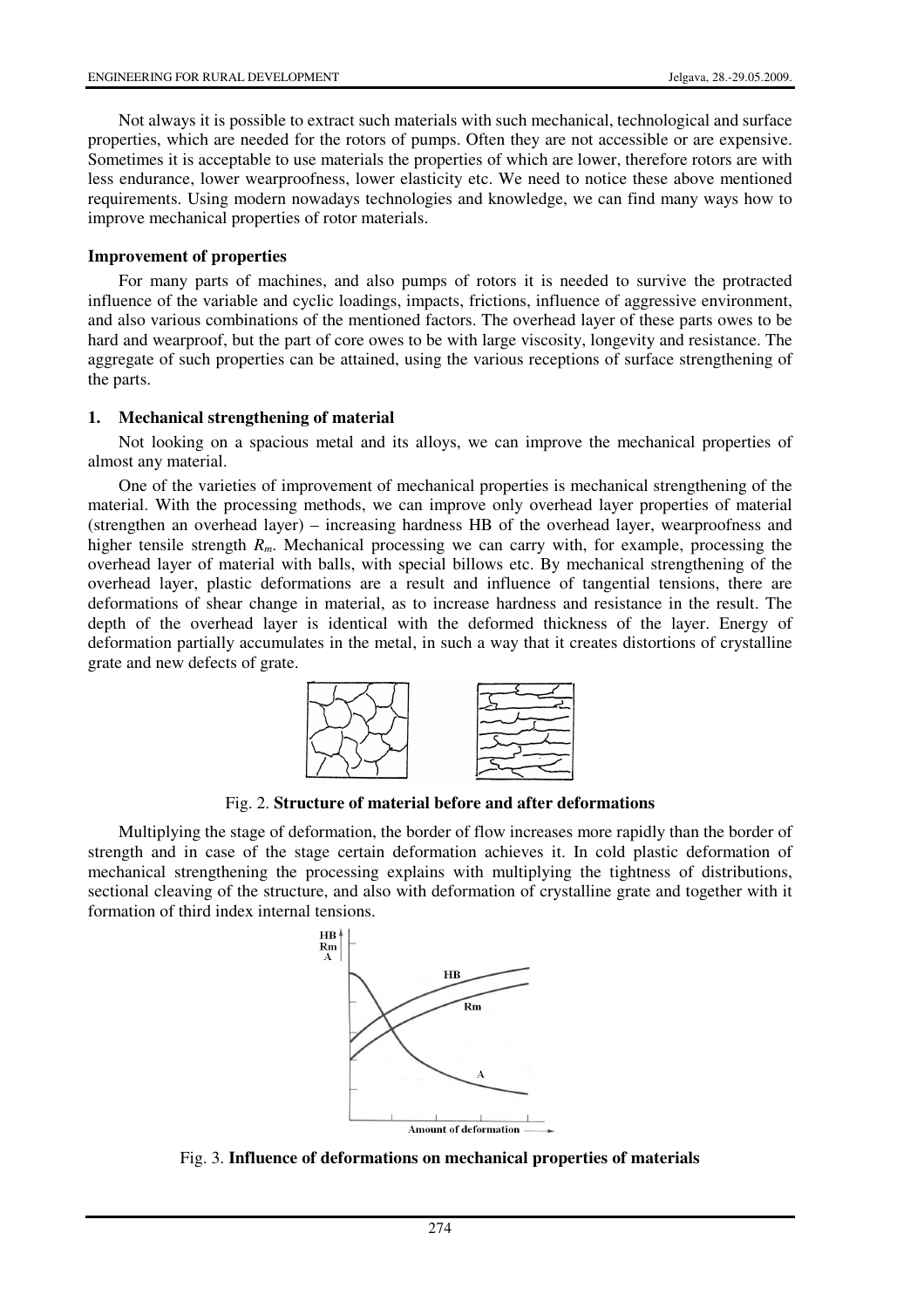Not always it is possible to extract such materials with such mechanical, technological and surface properties, which are needed for the rotors of pumps. Often they are not accessible or are expensive. Sometimes it is acceptable to use materials the properties of which are lower, therefore rotors are with less endurance, lower wearproofness, lower elasticity etc. We need to notice these above mentioned requirements. Using modern nowadays technologies and knowledge, we can find many ways how to improve mechanical properties of rotor materials.

## **Improvement of properties**

For many parts of machines, and also pumps of rotors it is needed to survive the protracted influence of the variable and cyclic loadings, impacts, frictions, influence of aggressive environment, and also various combinations of the mentioned factors. The overhead layer of these parts owes to be hard and wearproof, but the part of core owes to be with large viscosity, longevity and resistance. The aggregate of such properties can be attained, using the various receptions of surface strengthening of the parts.

# **1. Mechanical strengthening of material**

Not looking on a spacious metal and its alloys, we can improve the mechanical properties of almost any material.

One of the varieties of improvement of mechanical properties is mechanical strengthening of the material. With the processing methods, we can improve only overhead layer properties of material (strengthen an overhead layer) – increasing hardness HB of the overhead layer, wearproofness and higher tensile strength  $R_m$ . Mechanical processing we can carry with, for example, processing the overhead layer of material with balls, with special billows etc. By mechanical strengthening of the overhead layer, plastic deformations are a result and influence of tangential tensions, there are deformations of shear change in material, as to increase hardness and resistance in the result. The depth of the overhead layer is identical with the deformed thickness of the layer. Energy of deformation partially accumulates in the metal, in such a way that it creates distortions of crystalline grate and new defects of grate.



Fig. 2. **Structure of material before and after deformations**

Multiplying the stage of deformation, the border of flow increases more rapidly than the border of strength and in case of the stage certain deformation achieves it. In cold plastic deformation of mechanical strengthening the processing explains with multiplying the tightness of distributions, sectional cleaving of the structure, and also with deformation of crystalline grate and together with it formation of third index internal tensions.



Fig. 3. **Influence of deformations on mechanical properties of materials**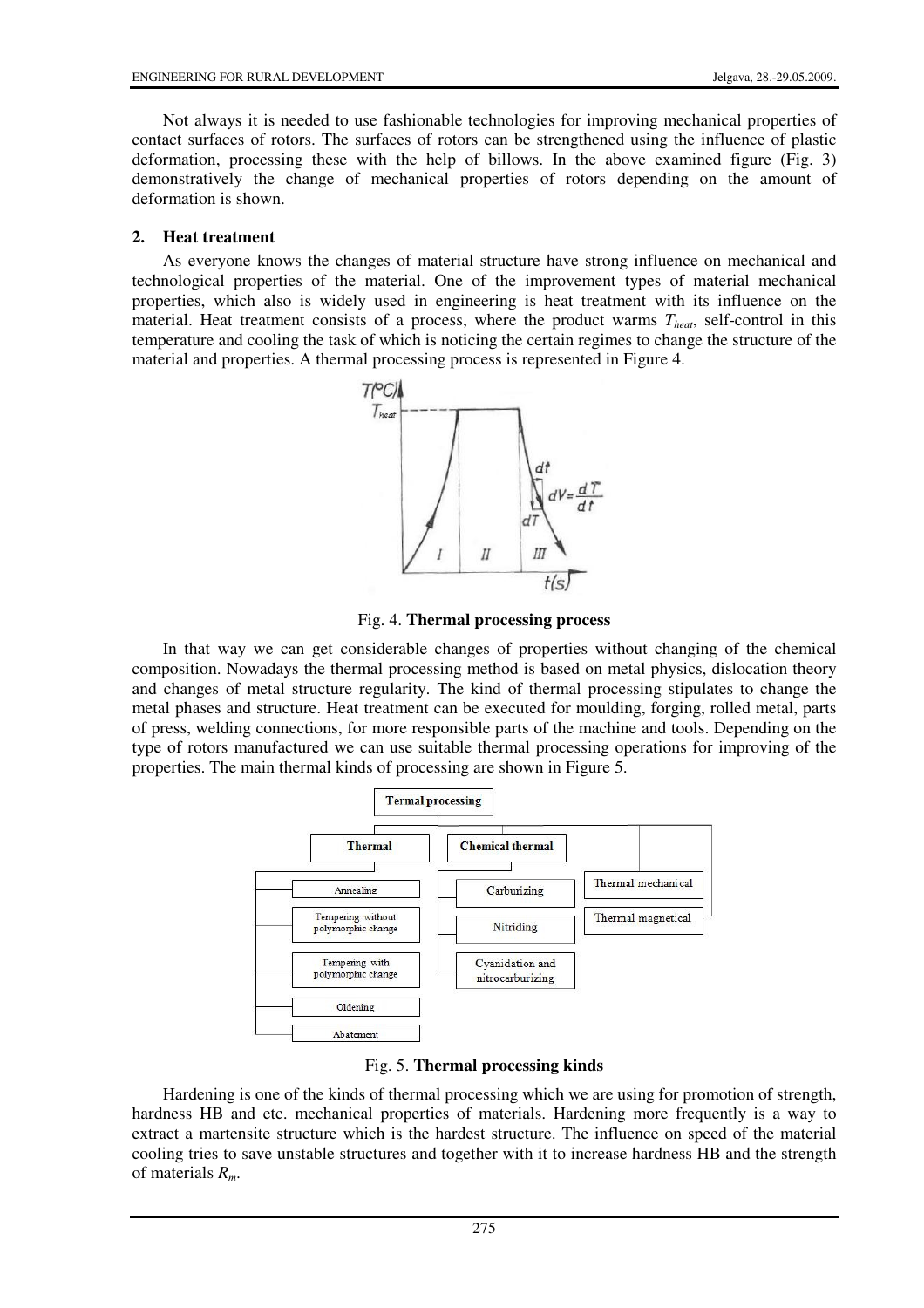Not always it is needed to use fashionable technologies for improving mechanical properties of contact surfaces of rotors. The surfaces of rotors can be strengthened using the influence of plastic deformation, processing these with the help of billows. In the above examined figure (Fig. 3) demonstratively the change of mechanical properties of rotors depending on the amount of deformation is shown.

## **2. Heat treatment**

As everyone knows the changes of material structure have strong influence on mechanical and technological properties of the material. One of the improvement types of material mechanical properties, which also is widely used in engineering is heat treatment with its influence on the material. Heat treatment consists of a process, where the product warms *Theat*, self-control in this temperature and cooling the task of which is noticing the certain regimes to change the structure of the material and properties. A thermal processing process is represented in Figure 4.



Fig. 4. **Thermal processing process**

In that way we can get considerable changes of properties without changing of the chemical composition. Nowadays the thermal processing method is based on metal physics, dislocation theory and changes of metal structure regularity. The kind of thermal processing stipulates to change the metal phases and structure. Heat treatment can be executed for moulding, forging, rolled metal, parts of press, welding connections, for more responsible parts of the machine and tools. Depending on the type of rotors manufactured we can use suitable thermal processing operations for improving of the properties. The main thermal kinds of processing are shown in Figure 5.



Fig. 5. **Thermal processing kinds**

Hardening is one of the kinds of thermal processing which we are using for promotion of strength, hardness HB and etc. mechanical properties of materials. Hardening more frequently is a way to extract a martensite structure which is the hardest structure. The influence on speed of the material cooling tries to save unstable structures and together with it to increase hardness HB and the strength of materials *Rm*.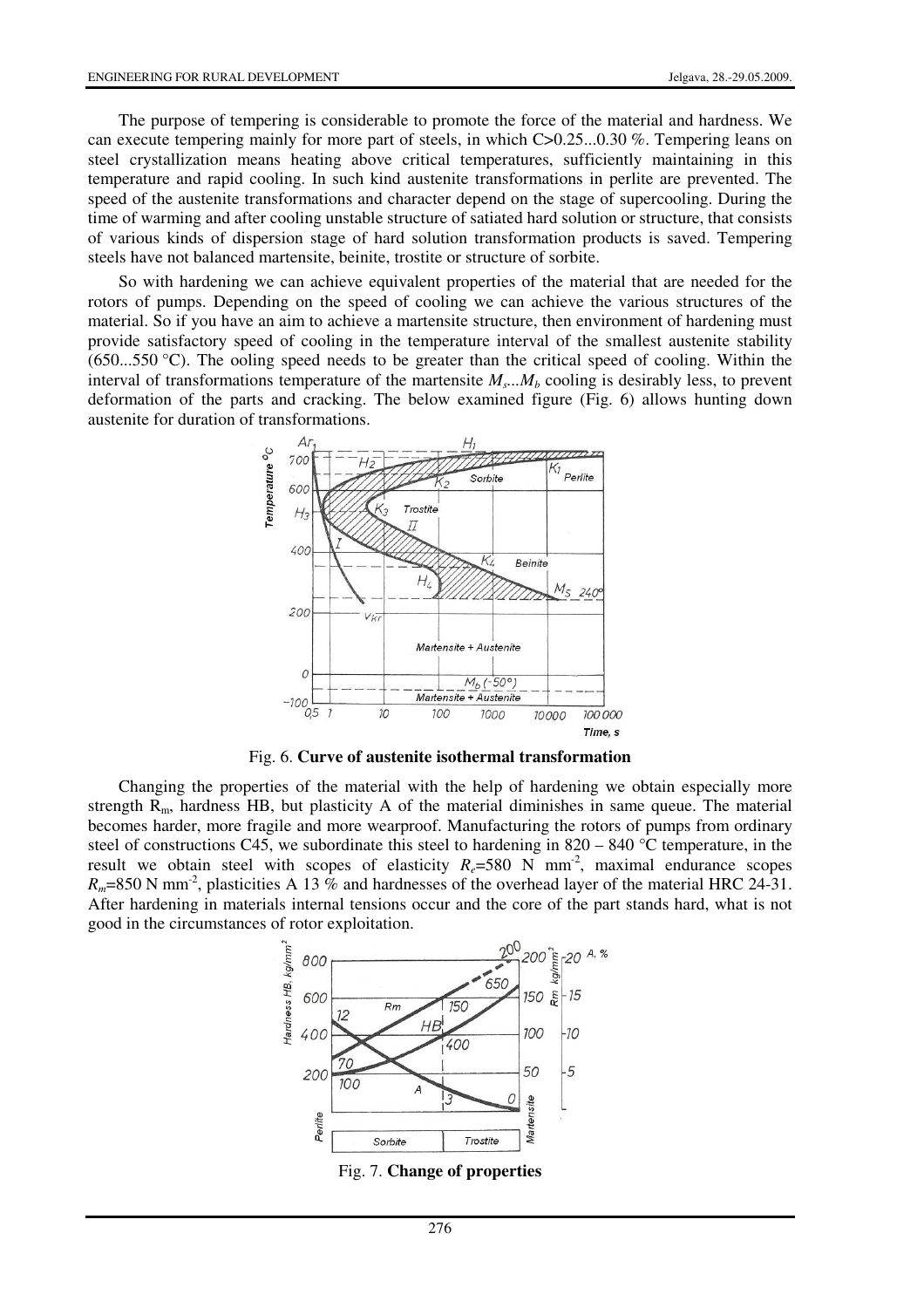The purpose of tempering is considerable to promote the force of the material and hardness. We can execute tempering mainly for more part of steels, in which C>0.25...0.30 %. Tempering leans on steel crystallization means heating above critical temperatures, sufficiently maintaining in this temperature and rapid cooling. In such kind austenite transformations in perlite are prevented. The speed of the austenite transformations and character depend on the stage of supercooling. During the time of warming and after cooling unstable structure of satiated hard solution or structure, that consists of various kinds of dispersion stage of hard solution transformation products is saved. Tempering steels have not balanced martensite, beinite, trostite or structure of sorbite.

So with hardening we can achieve equivalent properties of the material that are needed for the rotors of pumps. Depending on the speed of cooling we can achieve the various structures of the material. So if you have an aim to achieve a martensite structure, then environment of hardening must provide satisfactory speed of cooling in the temperature interval of the smallest austenite stability (650...550 °C). The ooling speed needs to be greater than the critical speed of cooling. Within the interval of transformations temperature of the martensite  $M_s$ ... $M_b$  cooling is desirably less, to prevent deformation of the parts and cracking. The below examined figure (Fig. 6) allows hunting down austenite for duration of transformations.



Fig. 6. **Curve of austenite isothermal transformation**

Changing the properties of the material with the help of hardening we obtain especially more strength  $R_m$ , hardness HB, but plasticity A of the material diminishes in same queue. The material becomes harder, more fragile and more wearproof. Manufacturing the rotors of pumps from ordinary steel of constructions C45, we subordinate this steel to hardening in 820 – 840 °C temperature, in the result we obtain steel with scopes of elasticity  $R_e$ =580 N mm<sup>-2</sup>, maximal endurance scopes  $R_m$ =850 N mm<sup>-2</sup>, plasticities A 13 % and hardnesses of the overhead layer of the material HRC 24-31. After hardening in materials internal tensions occur and the core of the part stands hard, what is not good in the circumstances of rotor exploitation.



Fig. 7. **Change of properties**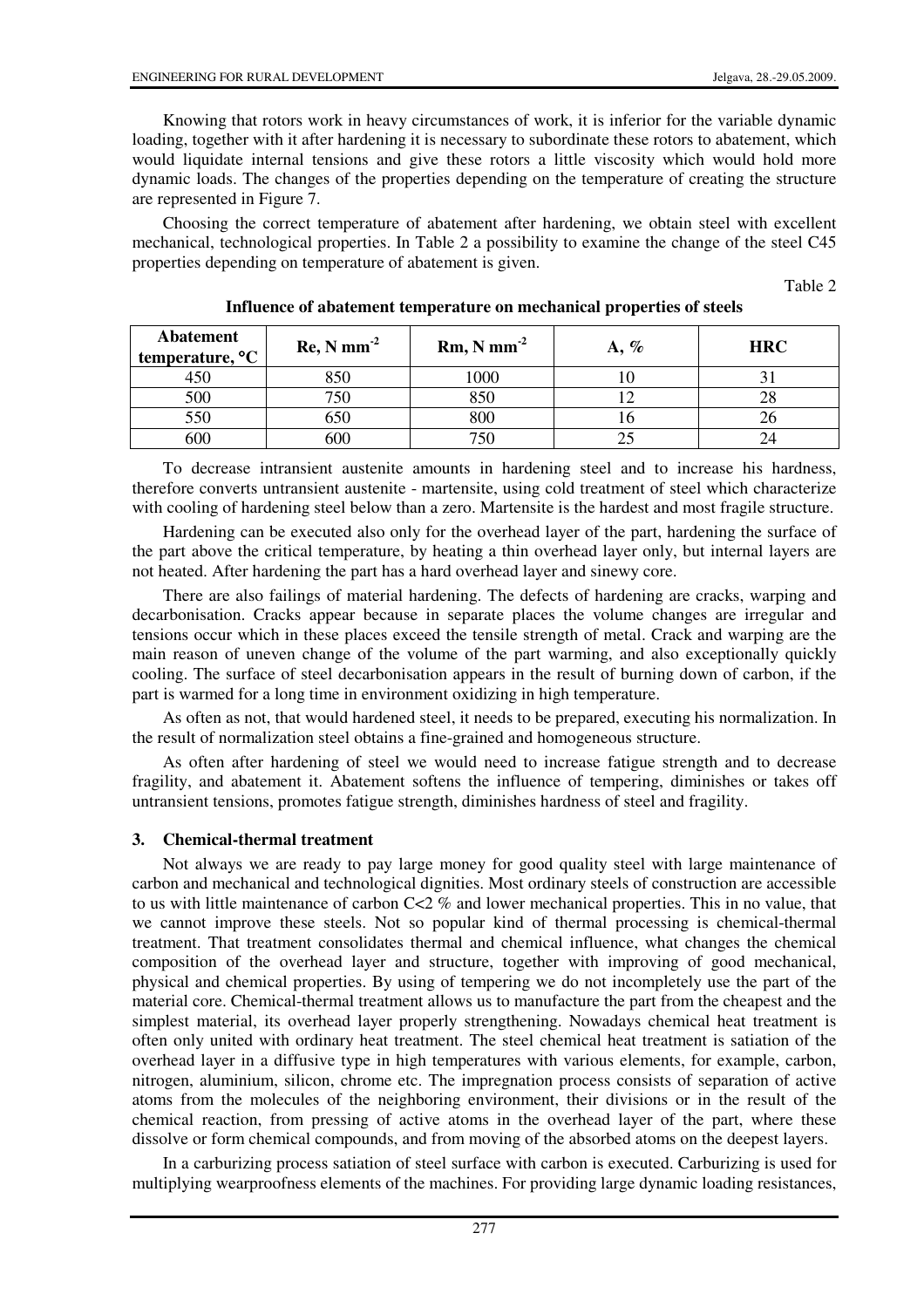Knowing that rotors work in heavy circumstances of work, it is inferior for the variable dynamic loading, together with it after hardening it is necessary to subordinate these rotors to abatement, which would liquidate internal tensions and give these rotors a little viscosity which would hold more dynamic loads. The changes of the properties depending on the temperature of creating the structure are represented in Figure 7.

Choosing the correct temperature of abatement after hardening, we obtain steel with excellent mechanical, technological properties. In Table 2 a possibility to examine the change of the steel C45 properties depending on temperature of abatement is given.

Table 2

| <b>Abatement</b><br>temperature, °C | $\text{Re}, \text{N mm}^{-2}$ | $Rm, N mm-2$ | $A, \%$ | <b>HRC</b> |
|-------------------------------------|-------------------------------|--------------|---------|------------|
|                                     | 850                           | 1000         |         |            |
| 500                                 | 750                           | 05 C         |         |            |
| 550                                 | 550                           | 800          |         |            |
| bUt                                 | 500                           |              |         |            |

### **Influence of abatement temperature on mechanical properties of steels**

To decrease intransient austenite amounts in hardening steel and to increase his hardness, therefore converts untransient austenite - martensite, using cold treatment of steel which characterize with cooling of hardening steel below than a zero. Martensite is the hardest and most fragile structure.

Hardening can be executed also only for the overhead layer of the part, hardening the surface of the part above the critical temperature, by heating a thin overhead layer only, but internal layers are not heated. After hardening the part has a hard overhead layer and sinewy core.

There are also failings of material hardening. The defects of hardening are cracks, warping and decarbonisation. Cracks appear because in separate places the volume changes are irregular and tensions occur which in these places exceed the tensile strength of metal. Crack and warping are the main reason of uneven change of the volume of the part warming, and also exceptionally quickly cooling. The surface of steel decarbonisation appears in the result of burning down of carbon, if the part is warmed for a long time in environment oxidizing in high temperature.

As often as not, that would hardened steel, it needs to be prepared, executing his normalization. In the result of normalization steel obtains a fine-grained and homogeneous structure.

As often after hardening of steel we would need to increase fatigue strength and to decrease fragility, and abatement it. Abatement softens the influence of tempering, diminishes or takes off untransient tensions, promotes fatigue strength, diminishes hardness of steel and fragility.

## **3. Chemical-thermal treatment**

Not always we are ready to pay large money for good quality steel with large maintenance of carbon and mechanical and technological dignities. Most ordinary steels of construction are accessible to us with little maintenance of carbon  $C < 2$  % and lower mechanical properties. This in no value, that we cannot improve these steels. Not so popular kind of thermal processing is chemical-thermal treatment. That treatment consolidates thermal and chemical influence, what changes the chemical composition of the overhead layer and structure, together with improving of good mechanical, physical and chemical properties. By using of tempering we do not incompletely use the part of the material core. Chemical-thermal treatment allows us to manufacture the part from the cheapest and the simplest material, its overhead layer properly strengthening. Nowadays chemical heat treatment is often only united with ordinary heat treatment. The steel chemical heat treatment is satiation of the overhead layer in a diffusive type in high temperatures with various elements, for example, carbon, nitrogen, aluminium, silicon, chrome etc. The impregnation process consists of separation of active atoms from the molecules of the neighboring environment, their divisions or in the result of the chemical reaction, from pressing of active atoms in the overhead layer of the part, where these dissolve or form chemical compounds, and from moving of the absorbed atoms on the deepest layers.

In a carburizing process satiation of steel surface with carbon is executed. Carburizing is used for multiplying wearproofness elements of the machines. For providing large dynamic loading resistances,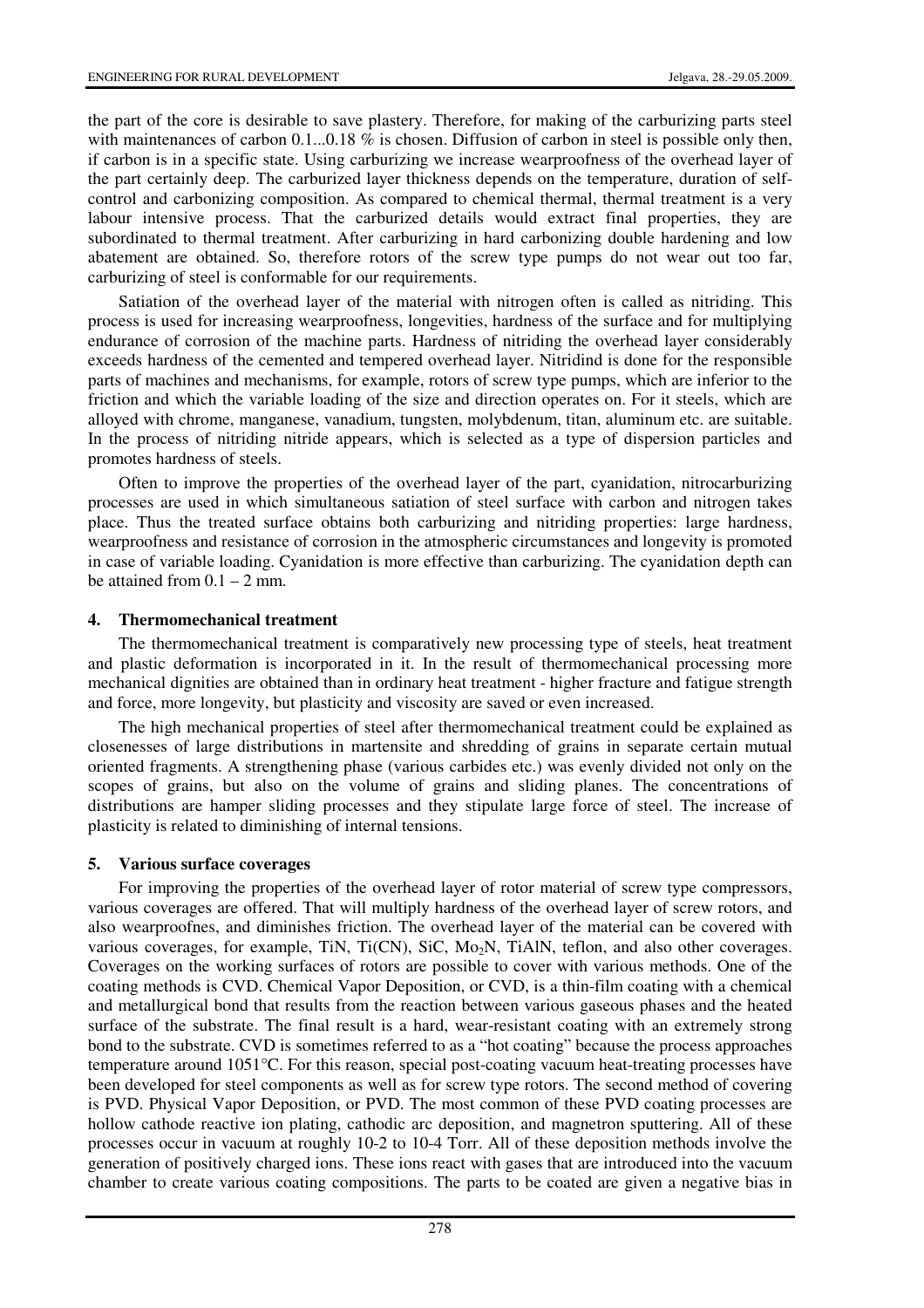the part of the core is desirable to save plastery. Therefore, for making of the carburizing parts steel with maintenances of carbon  $0.1...0.18$  % is chosen. Diffusion of carbon in steel is possible only then, if carbon is in a specific state. Using carburizing we increase wearproofness of the overhead layer of the part certainly deep. The carburized layer thickness depends on the temperature, duration of selfcontrol and carbonizing composition. As compared to chemical thermal, thermal treatment is a very labour intensive process. That the carburized details would extract final properties, they are subordinated to thermal treatment. After carburizing in hard carbonizing double hardening and low abatement are obtained. So, therefore rotors of the screw type pumps do not wear out too far, carburizing of steel is conformable for our requirements.

Satiation of the overhead layer of the material with nitrogen often is called as nitriding. This process is used for increasing wearproofness, longevities, hardness of the surface and for multiplying endurance of corrosion of the machine parts. Hardness of nitriding the overhead layer considerably exceeds hardness of the cemented and tempered overhead layer. Nitridind is done for the responsible parts of machines and mechanisms, for example, rotors of screw type pumps, which are inferior to the friction and which the variable loading of the size and direction operates on. For it steels, which are alloyed with chrome, manganese, vanadium, tungsten, molybdenum, titan, aluminum etc. are suitable. In the process of nitriding nitride appears, which is selected as a type of dispersion particles and promotes hardness of steels.

Often to improve the properties of the overhead layer of the part, cyanidation, nitrocarburizing processes are used in which simultaneous satiation of steel surface with carbon and nitrogen takes place. Thus the treated surface obtains both carburizing and nitriding properties: large hardness, wearproofness and resistance of corrosion in the atmospheric circumstances and longevity is promoted in case of variable loading. Cyanidation is more effective than carburizing. The cyanidation depth can be attained from  $0.1 - 2$  mm.

#### **4. Thermomechanical treatment**

The thermomechanical treatment is comparatively new processing type of steels, heat treatment and plastic deformation is incorporated in it. In the result of thermomechanical processing more mechanical dignities are obtained than in ordinary heat treatment - higher fracture and fatigue strength and force, more longevity, but plasticity and viscosity are saved or even increased.

The high mechanical properties of steel after thermomechanical treatment could be explained as closenesses of large distributions in martensite and shredding of grains in separate certain mutual oriented fragments. A strengthening phase (various carbides etc.) was evenly divided not only on the scopes of grains, but also on the volume of grains and sliding planes. The concentrations of distributions are hamper sliding processes and they stipulate large force of steel. The increase of plasticity is related to diminishing of internal tensions.

#### **5. Various surface coverages**

For improving the properties of the overhead layer of rotor material of screw type compressors, various coverages are offered. That will multiply hardness of the overhead layer of screw rotors, and also wearproofnes, and diminishes friction. The overhead layer of the material can be covered with various coverages, for example, TiN, Ti(CN), SiC, Mo<sub>2</sub>N, TiAlN, teflon, and also other coverages. Coverages on the working surfaces of rotors are possible to cover with various methods. One of the coating methods is CVD. Chemical Vapor Deposition, or CVD, is a thin-film coating with a chemical and metallurgical bond that results from the reaction between various gaseous phases and the heated surface of the substrate. The final result is a hard, wear-resistant coating with an extremely strong bond to the substrate. CVD is sometimes referred to as a "hot coating" because the process approaches temperature around 1051°C. For this reason, special post-coating vacuum heat-treating processes have been developed for steel components as well as for screw type rotors. The second method of covering is PVD. Physical Vapor Deposition, or PVD. The most common of these PVD coating processes are hollow cathode reactive ion plating, cathodic arc deposition, and magnetron sputtering. All of these processes occur in vacuum at roughly 10-2 to 10-4 Torr. All of these deposition methods involve the generation of positively charged ions. These ions react with gases that are introduced into the vacuum chamber to create various coating compositions. The parts to be coated are given a negative bias in